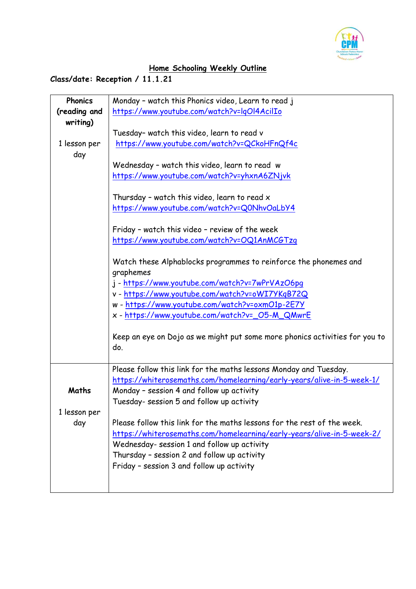

## **Home Schooling Weekly Outline**

## **Class/date: Reception / 11.1.21**

| Phonics      | Monday - watch this Phonics video, Learn to read j                          |
|--------------|-----------------------------------------------------------------------------|
| (reading and | https://www.youtube.com/watch?v=lqOl4AcilIo                                 |
| writing)     |                                                                             |
|              | Tuesday- watch this video, learn to read v                                  |
| 1 lesson per | https://www.youtube.com/watch?v=QCkoHFnQf4c                                 |
| day          |                                                                             |
|              | Wednesday - watch this video, learn to read w                               |
|              | https://www.youtube.com/watch?v=yhxnA6ZNjvk                                 |
|              |                                                                             |
|              | Thursday - watch this video, learn to read $x$                              |
|              | https://www.youtube.com/watch?v=Q0NhvOaLbY4                                 |
|              |                                                                             |
|              | Friday - watch this video - review of the week                              |
|              | https://www.youtube.com/watch?v=OQ1AnMCGTzq                                 |
|              |                                                                             |
|              | Watch these Alphablocks programmes to reinforce the phonemes and            |
|              | graphemes                                                                   |
|              | j - https://www.youtube.com/watch?v=7wPrVAzO6pg                             |
|              | v - https://www.youtube.com/watch?v=oWI7YKqB72Q                             |
|              | w - https://www.youtube.com/watch?v=oxmO1p-2E7Y                             |
|              | x - https://www.youtube.com/watch?v=_05-M_QMwrE                             |
|              | Keep an eye on Dojo as we might put some more phonics activities for you to |
|              | do.                                                                         |
|              |                                                                             |
|              | Please follow this link for the maths lessons Monday and Tuesday.           |
|              | https://whiterosemaths.com/homelearning/early-years/alive-in-5-week-1/      |
| Maths        | Monday - session 4 and follow up activity                                   |
|              | Tuesday- session 5 and follow up activity                                   |
| 1 lesson per |                                                                             |
| day          | Please follow this link for the maths lessons for the rest of the week.     |
|              | https://whiterosemaths.com/homelearning/early-years/alive-in-5-week-2/      |
|              | Wednesday- session 1 and follow up activity                                 |
|              | Thursday - session 2 and follow up activity                                 |
|              | Friday - session 3 and follow up activity                                   |
|              |                                                                             |
|              |                                                                             |